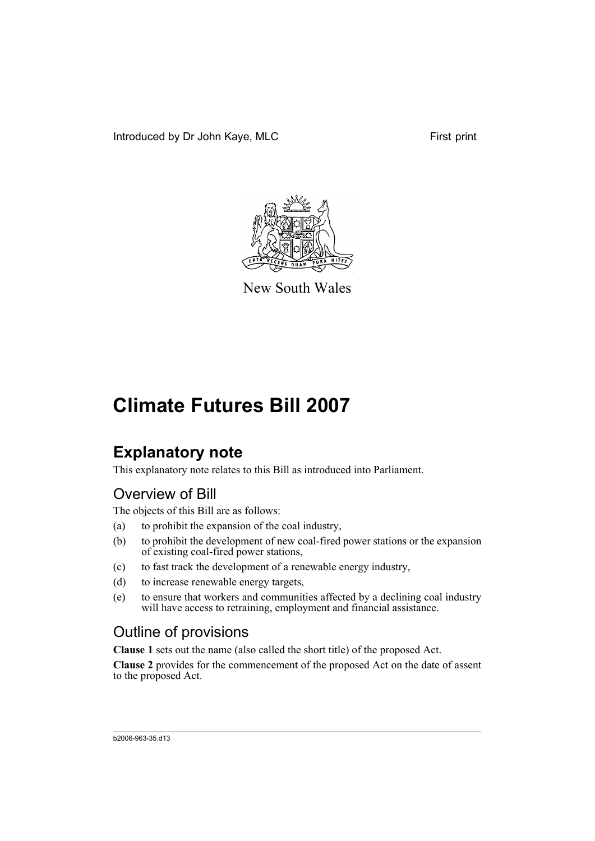

New South Wales

# **Climate Futures Bill 2007**

## **Explanatory note**

This explanatory note relates to this Bill as introduced into Parliament.

### Overview of Bill

The objects of this Bill are as follows:

- (a) to prohibit the expansion of the coal industry,
- (b) to prohibit the development of new coal-fired power stations or the expansion of existing coal-fired power stations,
- (c) to fast track the development of a renewable energy industry,
- (d) to increase renewable energy targets,
- (e) to ensure that workers and communities affected by a declining coal industry will have access to retraining, employment and financial assistance.

#### Outline of provisions

**Clause 1** sets out the name (also called the short title) of the proposed Act.

**Clause 2** provides for the commencement of the proposed Act on the date of assent to the proposed Act.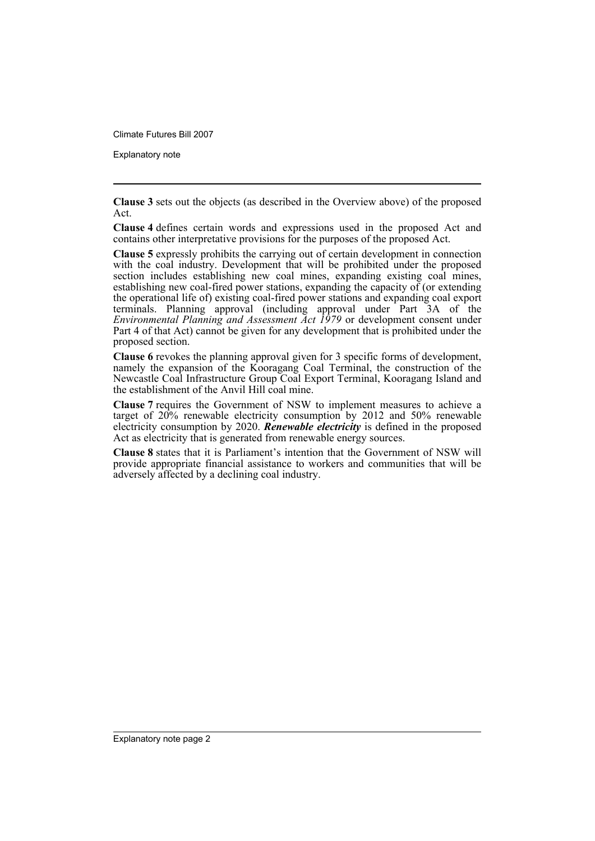Climate Futures Bill 2007

Explanatory note

**Clause 3** sets out the objects (as described in the Overview above) of the proposed Act.

**Clause 4** defines certain words and expressions used in the proposed Act and contains other interpretative provisions for the purposes of the proposed Act.

**Clause 5** expressly prohibits the carrying out of certain development in connection with the coal industry. Development that will be prohibited under the proposed section includes establishing new coal mines, expanding existing coal mines, establishing new coal-fired power stations, expanding the capacity of (or extending the operational life of) existing coal-fired power stations and expanding coal export terminals. Planning approval (including approval under Part 3A of the *Environmental Planning and Assessment Act 1979* or development consent under Part 4 of that Act) cannot be given for any development that is prohibited under the proposed section.

**Clause 6** revokes the planning approval given for 3 specific forms of development, namely the expansion of the Kooragang Coal Terminal, the construction of the Newcastle Coal Infrastructure Group Coal Export Terminal, Kooragang Island and the establishment of the Anvil Hill coal mine.

**Clause 7** requires the Government of NSW to implement measures to achieve a target of 20% renewable electricity consumption by 2012 and 50% renewable electricity consumption by 2020. *Renewable electricity* is defined in the proposed Act as electricity that is generated from renewable energy sources.

**Clause 8** states that it is Parliament's intention that the Government of NSW will provide appropriate financial assistance to workers and communities that will be adversely affected by a declining coal industry.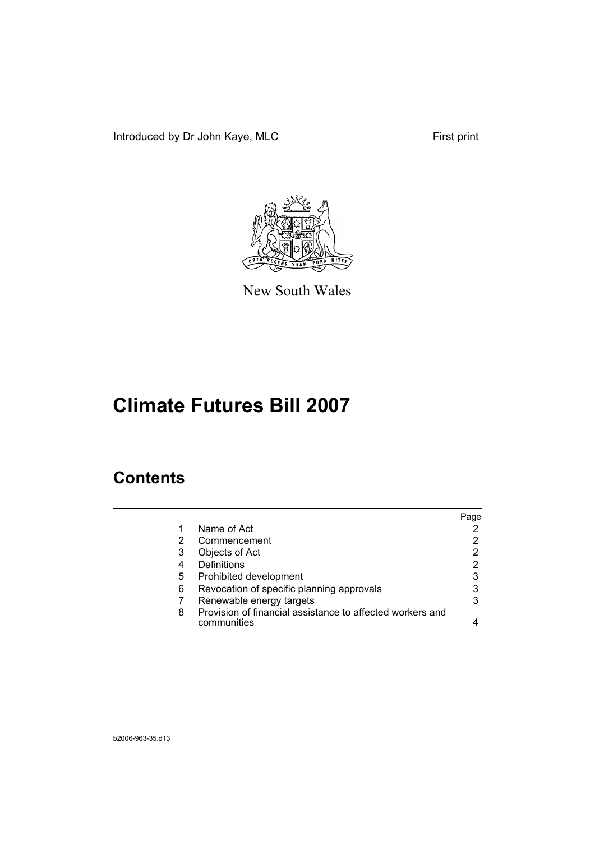Introduced by Dr John Kaye, MLC First print



New South Wales

# **Climate Futures Bill 2007**

## **Contents**

|   |                                                                          | Page |
|---|--------------------------------------------------------------------------|------|
|   | Name of Act                                                              |      |
| 2 | Commencement                                                             |      |
| 3 | Objects of Act                                                           | 2    |
| 4 | Definitions                                                              | 2    |
| 5 | Prohibited development                                                   | 3    |
| 6 | Revocation of specific planning approvals                                | 3    |
|   | Renewable energy targets                                                 | 3    |
| 8 | Provision of financial assistance to affected workers and<br>communities |      |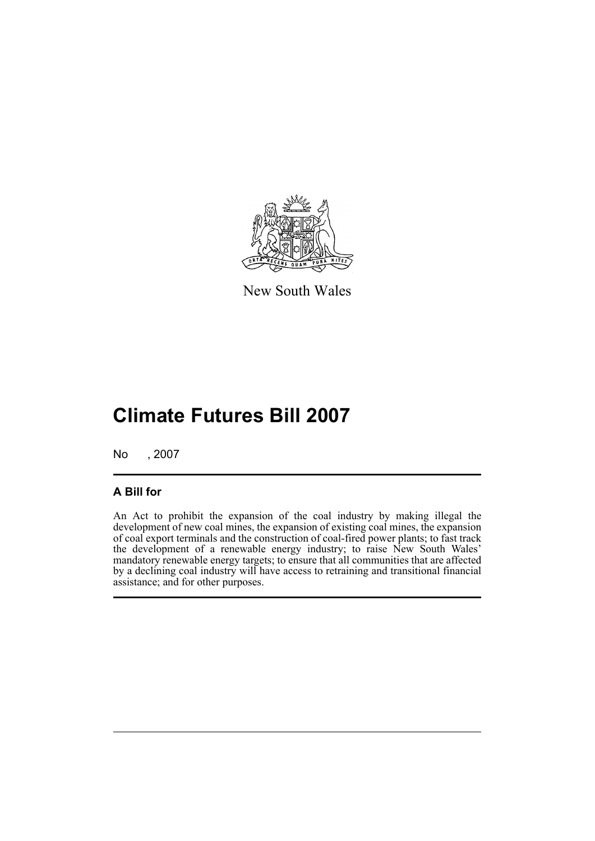

New South Wales

## **Climate Futures Bill 2007**

No , 2007

#### **A Bill for**

An Act to prohibit the expansion of the coal industry by making illegal the development of new coal mines, the expansion of existing coal mines, the expansion of coal export terminals and the construction of coal-fired power plants; to fast track the development of a renewable energy industry; to raise New South Wales' mandatory renewable energy targets; to ensure that all communities that are affected by a declining coal industry will have access to retraining and transitional financial assistance; and for other purposes.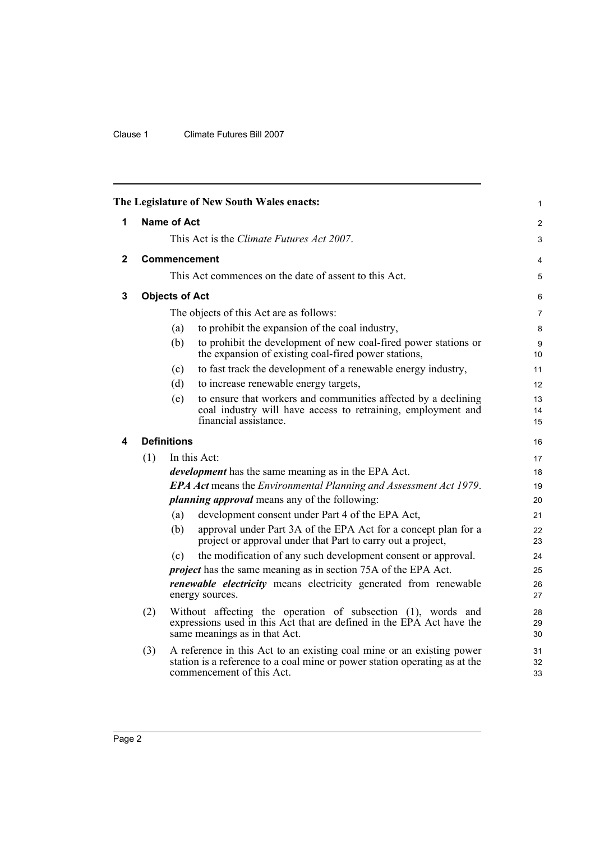#### Clause 1 Climate Futures Bill 2007

<span id="page-5-3"></span><span id="page-5-2"></span><span id="page-5-1"></span><span id="page-5-0"></span>

|              |                                         |                       | The Legislature of New South Wales enacts:                                                                                                                                       | 1              |
|--------------|-----------------------------------------|-----------------------|----------------------------------------------------------------------------------------------------------------------------------------------------------------------------------|----------------|
| 1            |                                         | Name of Act           |                                                                                                                                                                                  | 2              |
|              |                                         |                       | This Act is the <i>Climate Futures Act 2007</i> .                                                                                                                                | 3              |
| $\mathbf{2}$ |                                         |                       | <b>Commencement</b>                                                                                                                                                              | 4              |
|              |                                         |                       | This Act commences on the date of assent to this Act.                                                                                                                            | 5              |
| 3            |                                         | <b>Objects of Act</b> |                                                                                                                                                                                  | 6              |
|              | The objects of this Act are as follows: |                       |                                                                                                                                                                                  | $\overline{7}$ |
|              |                                         | (a)                   | to prohibit the expansion of the coal industry,                                                                                                                                  | 8              |
|              |                                         | (b)                   | to prohibit the development of new coal-fired power stations or<br>the expansion of existing coal-fired power stations,                                                          | 9<br>10        |
|              |                                         | (c)                   | to fast track the development of a renewable energy industry,                                                                                                                    | 11             |
|              |                                         | (d)                   | to increase renewable energy targets,                                                                                                                                            | 12             |
|              |                                         | (e)                   | to ensure that workers and communities affected by a declining<br>coal industry will have access to retraining, employment and<br>financial assistance.                          | 13<br>14<br>15 |
| 4            |                                         | <b>Definitions</b>    |                                                                                                                                                                                  | 16             |
|              | (1)                                     |                       | In this Act:                                                                                                                                                                     | 17             |
|              |                                         |                       | <i>development</i> has the same meaning as in the EPA Act.                                                                                                                       | 18             |
|              |                                         |                       | <b>EPA Act</b> means the <i>Environmental Planning and Assessment Act 1979</i> .                                                                                                 | 19             |
|              |                                         |                       | <i>planning approval</i> means any of the following:                                                                                                                             | 20             |
|              |                                         | (a)                   | development consent under Part 4 of the EPA Act,                                                                                                                                 | 21             |
|              |                                         | (b)                   | approval under Part 3A of the EPA Act for a concept plan for a<br>project or approval under that Part to carry out a project,                                                    | 22<br>23       |
|              |                                         | (c)                   | the modification of any such development consent or approval.                                                                                                                    | 24             |
|              |                                         |                       | <i>project</i> has the same meaning as in section 75A of the EPA Act.                                                                                                            | 25             |
|              |                                         |                       | <i>renewable electricity</i> means electricity generated from renewable<br>energy sources.                                                                                       | 26<br>27       |
|              | (2)                                     |                       | Without affecting the operation of subsection (1), words and<br>expressions used in this Act that are defined in the EPA Act have the<br>same meanings as in that Act.           | 28<br>29<br>30 |
|              | (3)                                     |                       | A reference in this Act to an existing coal mine or an existing power<br>station is a reference to a coal mine or power station operating as at the<br>commencement of this Act. | 31<br>32<br>33 |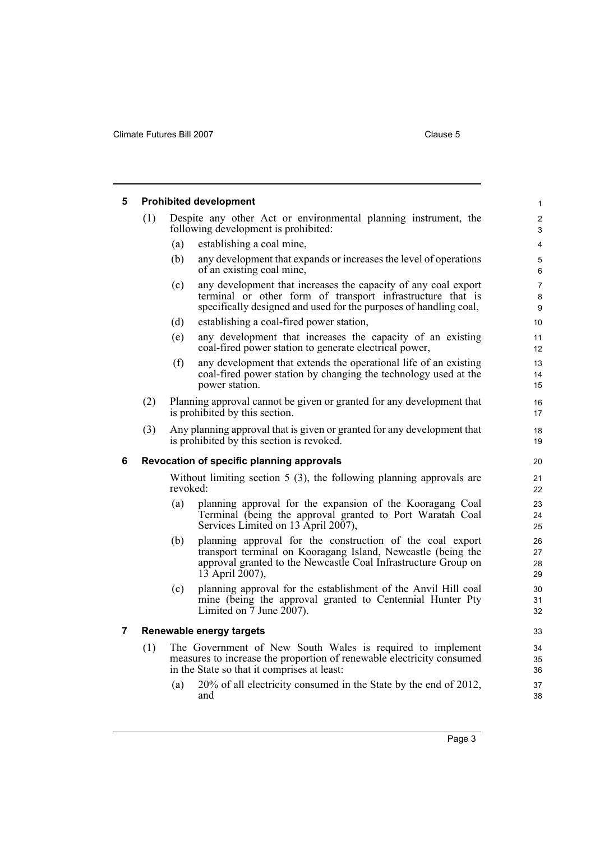<span id="page-6-2"></span><span id="page-6-1"></span><span id="page-6-0"></span>

| 5 |                                           |                                                                                    | <b>Prohibited development</b>                                                                                                                                                                                  | $\mathbf{1}$         |  |
|---|-------------------------------------------|------------------------------------------------------------------------------------|----------------------------------------------------------------------------------------------------------------------------------------------------------------------------------------------------------------|----------------------|--|
|   | (1)                                       |                                                                                    | Despite any other Act or environmental planning instrument, the<br>following development is prohibited:                                                                                                        | 2<br>3               |  |
|   |                                           | (a)                                                                                | establishing a coal mine,                                                                                                                                                                                      | 4                    |  |
|   |                                           | (b)                                                                                | any development that expands or increases the level of operations<br>of an existing coal mine,                                                                                                                 | 5<br>6               |  |
|   |                                           | (c)                                                                                | any development that increases the capacity of any coal export<br>terminal or other form of transport infrastructure that is<br>specifically designed and used for the purposes of handling coal,              | 7<br>8<br>9          |  |
|   |                                           | (d)                                                                                | establishing a coal-fired power station,                                                                                                                                                                       | 10                   |  |
|   |                                           | (e)                                                                                | any development that increases the capacity of an existing<br>coal-fired power station to generate electrical power,                                                                                           | 11<br>12             |  |
|   |                                           | (f)                                                                                | any development that extends the operational life of an existing<br>coal-fired power station by changing the technology used at the<br>power station.                                                          | 13<br>14<br>15       |  |
|   | (2)                                       |                                                                                    | Planning approval cannot be given or granted for any development that<br>is prohibited by this section.                                                                                                        | 16<br>17             |  |
|   | (3)                                       |                                                                                    | Any planning approval that is given or granted for any development that<br>is prohibited by this section is revoked.                                                                                           | 18<br>19             |  |
| 6 | Revocation of specific planning approvals |                                                                                    |                                                                                                                                                                                                                |                      |  |
|   |                                           | Without limiting section $5(3)$ , the following planning approvals are<br>revoked: |                                                                                                                                                                                                                |                      |  |
|   |                                           |                                                                                    |                                                                                                                                                                                                                | 21<br>22             |  |
|   |                                           | (a)                                                                                | planning approval for the expansion of the Kooragang Coal<br>Terminal (being the approval granted to Port Waratah Coal<br>Services Limited on 13 April 2007),                                                  | 23<br>24<br>25       |  |
|   |                                           | (b)                                                                                | planning approval for the construction of the coal export<br>transport terminal on Kooragang Island, Newcastle (being the<br>approval granted to the Newcastle Coal Infrastructure Group on<br>13 April 2007), | 26<br>27<br>28<br>29 |  |
|   |                                           | (c)                                                                                | planning approval for the establishment of the Anvil Hill coal<br>mine (being the approval granted to Centennial Hunter Pty<br>Limited on $\overline{7}$ June $2007$ ).                                        | 30<br>31<br>32       |  |
| 7 |                                           |                                                                                    | Renewable energy targets                                                                                                                                                                                       | 33                   |  |
|   | (1)                                       |                                                                                    | The Government of New South Wales is required to implement<br>measures to increase the proportion of renewable electricity consumed<br>in the State so that it comprises at least:                             | 34<br>35<br>36       |  |